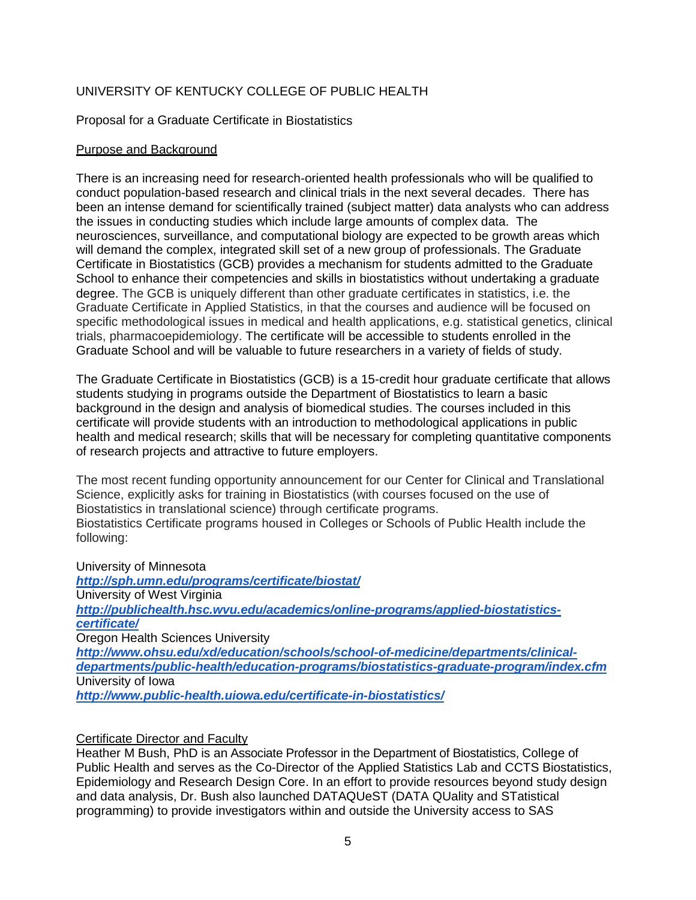## UNIVERSITY OF KENTUCKY COLLEGE OF PUBLIC HEALTH

### Proposal for a Graduate Certificate in Biostatistics

#### Purpose and Background

There is an increasing need for research-oriented health professionals who will be qualified to conduct population-based research and clinical trials in the next several decades. There has been an intense demand for scientifically trained (subject matter) data analysts who can address the issues in conducting studies which include large amounts of complex data. The neurosciences, surveillance, and computational biology are expected to be growth areas which will demand the complex, integrated skill set of a new group of professionals. The Graduate Certificate in Biostatistics (GCB) provides a mechanism for students admitted to the Graduate School to enhance their competencies and skills in biostatistics without undertaking a graduate degree. The GCB is uniquely different than other graduate certificates in statistics, i.e. the Graduate Certificate in Applied Statistics, in that the courses and audience will be focused on specific methodological issues in medical and health applications, e.g. statistical genetics, clinical trials, pharmacoepidemiology. The certificate will be accessible to students enrolled in the Graduate School and will be valuable to future researchers in a variety of fields of study.

The Graduate Certificate in Biostatistics (GCB) is a 15-credit hour graduate certificate that allows students studying in programs outside the Department of Biostatistics to learn a basic background in the design and analysis of biomedical studies. The courses included in this certificate will provide students with an introduction to methodological applications in public health and medical research; skills that will be necessary for completing quantitative components of research projects and attractive to future employers.

The most recent funding opportunity announcement for our Center for Clinical and Translational Science, explicitly asks for training in Biostatistics (with courses focused on the use of Biostatistics in translational science) through certificate programs. Biostatistics Certificate programs housed in Colleges or Schools of Public Health include the following:

University of Minnesota *<http://sph.umn.edu/programs/certificate/biostat/>* University of West Virginia *[http://publichealth.hsc.wvu.edu/academics/online-programs/applied-biostatistics](http://publichealth.hsc.wvu.edu/academics/online-programs/applied-biostatistics-certificate/)[certificate/](http://publichealth.hsc.wvu.edu/academics/online-programs/applied-biostatistics-certificate/)* Oregon Health Sciences University *[http://www.ohsu.edu/xd/education/schools/school-of-medicine/departments/clinical](http://www.ohsu.edu/xd/education/schools/school-of-medicine/departments/clinical-departments/public-health/education-programs/biostatistics-graduate-program/index.cfm)[departments/public-health/education-programs/biostatistics-graduate-program/index.cfm](http://www.ohsu.edu/xd/education/schools/school-of-medicine/departments/clinical-departments/public-health/education-programs/biostatistics-graduate-program/index.cfm)* University of Iowa *<http://www.public-health.uiowa.edu/certificate-in-biostatistics/>*

#### Certificate Director and Faculty

Heather M Bush, PhD is an Associate Professor in the Department of Biostatistics, College of Public Health and serves as the Co-Director of the Applied Statistics Lab and CCTS Biostatistics, Epidemiology and Research Design Core. In an effort to provide resources beyond study design and data analysis, Dr. Bush also launched DATAQUeST (DATA QUality and STatistical programming) to provide investigators within and outside the University access to SAS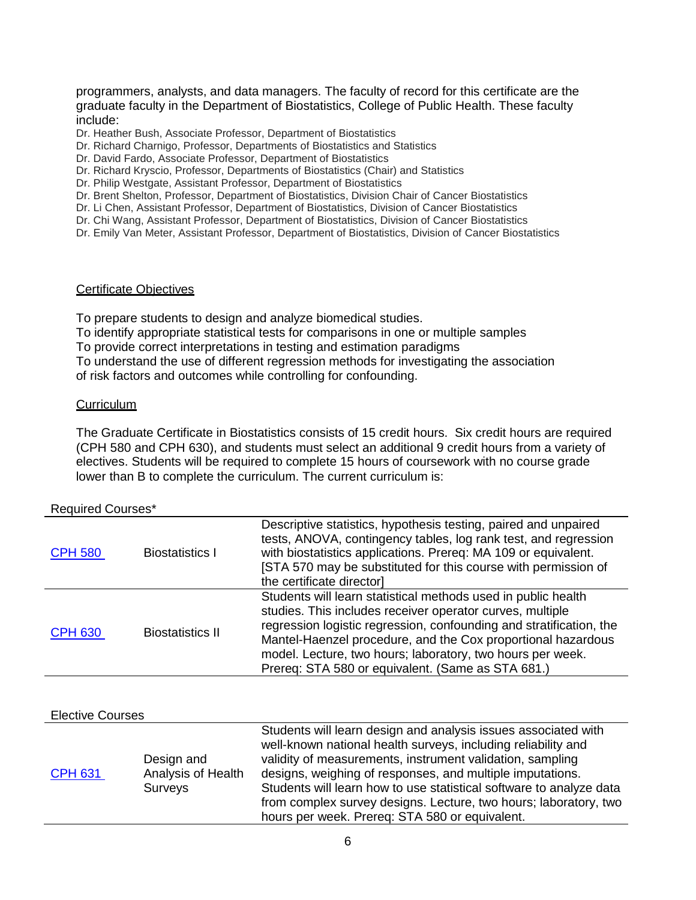programmers, analysts, and data managers. The faculty of record for this certificate are the graduate faculty in the Department of Biostatistics, College of Public Health. These faculty include:

Dr. Heather Bush, Associate Professor, Department of Biostatistics

- Dr. Richard Charnigo, Professor, Departments of Biostatistics and Statistics
- Dr. David Fardo, Associate Professor, Department of Biostatistics
- Dr. Richard Kryscio, Professor, Departments of Biostatistics (Chair) and Statistics
- Dr. Philip Westgate, Assistant Professor, Department of Biostatistics

Dr. Brent Shelton, Professor, Department of Biostatistics, Division Chair of Cancer Biostatistics

- Dr. Li Chen, Assistant Professor, Department of Biostatistics, Division of Cancer Biostatistics
- Dr. Chi Wang, Assistant Professor, Department of Biostatistics, Division of Cancer Biostatistics
- Dr. Emily Van Meter, Assistant Professor, Department of Biostatistics, Division of Cancer Biostatistics

#### Certificate Objectives

To prepare students to design and analyze biomedical studies.

To identify appropriate statistical tests for comparisons in one or multiple samples

To provide correct interpretations in testing and estimation paradigms

To understand the use of different regression methods for investigating the association of risk factors and outcomes while controlling for confounding.

#### **Curriculum**

The Graduate Certificate in Biostatistics consists of 15 credit hours. Six credit hours are required (CPH 580 and CPH 630), and students must select an additional 9 credit hours from a variety of electives. Students will be required to complete 15 hours of coursework with no course grade lower than B to complete the curriculum. The current curriculum is:

#### Required Courses\*

| <b>CPH 580</b> | <b>Biostatistics I</b>  | Descriptive statistics, hypothesis testing, paired and unpaired<br>tests, ANOVA, contingency tables, log rank test, and regression<br>with biostatistics applications. Prereq: MA 109 or equivalent.<br>[STA 570 may be substituted for this course with permission of<br>the certificate director]                                                                                  |
|----------------|-------------------------|--------------------------------------------------------------------------------------------------------------------------------------------------------------------------------------------------------------------------------------------------------------------------------------------------------------------------------------------------------------------------------------|
| <b>CPH 630</b> | <b>Biostatistics II</b> | Students will learn statistical methods used in public health<br>studies. This includes receiver operator curves, multiple<br>regression logistic regression, confounding and stratification, the<br>Mantel-Haenzel procedure, and the Cox proportional hazardous<br>model. Lecture, two hours; laboratory, two hours per week.<br>Prereq: STA 580 or equivalent. (Same as STA 681.) |

#### Elective Courses

|                |                    | Students will learn design and analysis issues associated with<br>well-known national health surveys, including reliability and |
|----------------|--------------------|---------------------------------------------------------------------------------------------------------------------------------|
|                |                    |                                                                                                                                 |
|                | Design and         | validity of measurements, instrument validation, sampling                                                                       |
| <b>CPH 631</b> | Analysis of Health | designs, weighing of responses, and multiple imputations.                                                                       |
|                | <b>Surveys</b>     | Students will learn how to use statistical software to analyze data                                                             |
|                |                    | from complex survey designs. Lecture, two hours; laboratory, two                                                                |
|                |                    | hours per week. Prereq: STA 580 or equivalent.                                                                                  |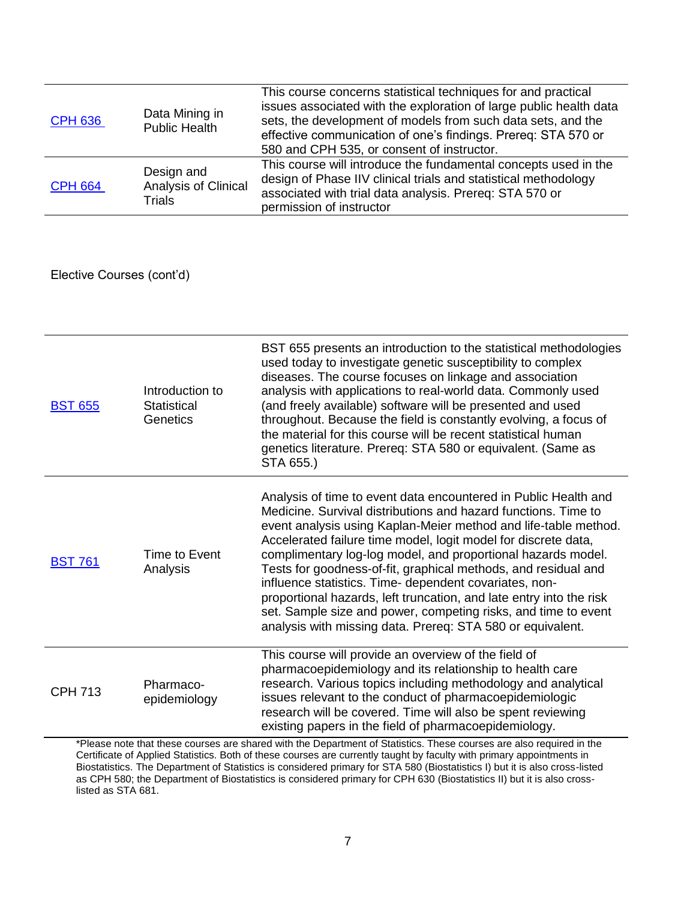| <b>CPH 636</b> | Data Mining in<br><b>Public Health</b>       | This course concerns statistical techniques for and practical<br>issues associated with the exploration of large public health data<br>sets, the development of models from such data sets, and the<br>effective communication of one's findings. Prereq: STA 570 or<br>580 and CPH 535, or consent of instructor. |
|----------------|----------------------------------------------|--------------------------------------------------------------------------------------------------------------------------------------------------------------------------------------------------------------------------------------------------------------------------------------------------------------------|
| <b>CPH 664</b> | Design and<br>Analysis of Clinical<br>Trials | This course will introduce the fundamental concepts used in the<br>design of Phase IIV clinical trials and statistical methodology<br>associated with trial data analysis. Prereq: STA 570 or<br>permission of instructor                                                                                          |

Elective Courses (cont'd)

| <b>BST 655</b> | Introduction to<br>Statistical<br>Genetics | BST 655 presents an introduction to the statistical methodologies<br>used today to investigate genetic susceptibility to complex<br>diseases. The course focuses on linkage and association<br>analysis with applications to real-world data. Commonly used<br>(and freely available) software will be presented and used<br>throughout. Because the field is constantly evolving, a focus of<br>the material for this course will be recent statistical human<br>genetics literature. Prereq: STA 580 or equivalent. (Same as<br>STA 655.)                                                                                                                               |
|----------------|--------------------------------------------|---------------------------------------------------------------------------------------------------------------------------------------------------------------------------------------------------------------------------------------------------------------------------------------------------------------------------------------------------------------------------------------------------------------------------------------------------------------------------------------------------------------------------------------------------------------------------------------------------------------------------------------------------------------------------|
| <b>BST 761</b> | Time to Event<br>Analysis                  | Analysis of time to event data encountered in Public Health and<br>Medicine. Survival distributions and hazard functions. Time to<br>event analysis using Kaplan-Meier method and life-table method.<br>Accelerated failure time model, logit model for discrete data,<br>complimentary log-log model, and proportional hazards model.<br>Tests for goodness-of-fit, graphical methods, and residual and<br>influence statistics. Time- dependent covariates, non-<br>proportional hazards, left truncation, and late entry into the risk<br>set. Sample size and power, competing risks, and time to event<br>analysis with missing data. Prereq: STA 580 or equivalent. |
| <b>CPH 713</b> | Pharmaco-<br>epidemiology                  | This course will provide an overview of the field of<br>pharmacoepidemiology and its relationship to health care<br>research. Various topics including methodology and analytical<br>issues relevant to the conduct of pharmacoepidemiologic<br>research will be covered. Time will also be spent reviewing<br>existing papers in the field of pharmacoepidemiology.                                                                                                                                                                                                                                                                                                      |

\*Please note that these courses are shared with the Department of Statistics. These courses are also required in the Certificate of Applied Statistics. Both of these courses are currently taught by faculty with primary appointments in Biostatistics. The Department of Statistics is considered primary for STA 580 (Biostatistics I) but it is also cross-listed as CPH 580; the Department of Biostatistics is considered primary for CPH 630 (Biostatistics II) but it is also crosslisted as STA 681.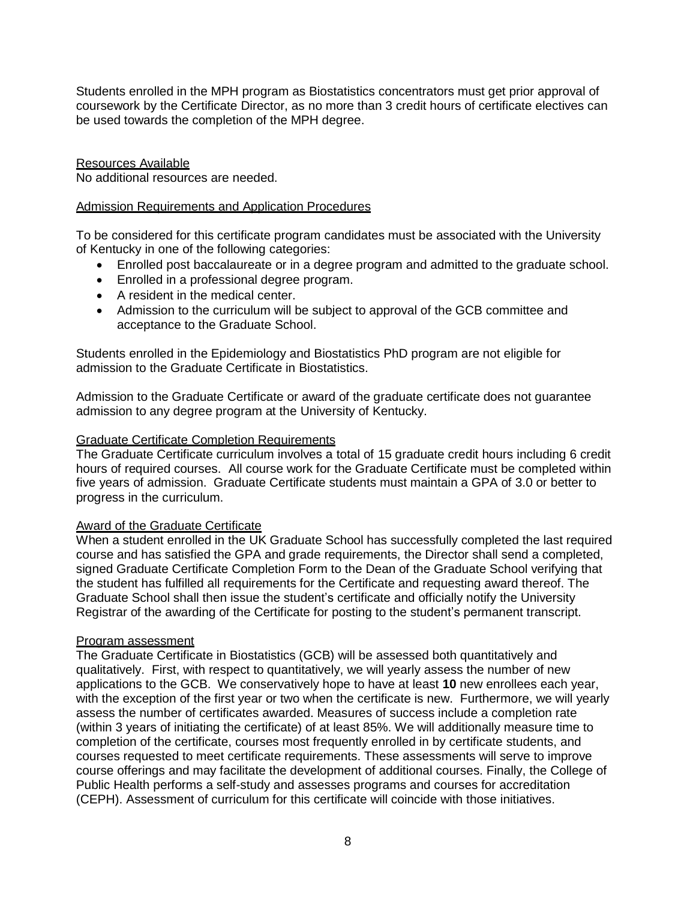Students enrolled in the MPH program as Biostatistics concentrators must get prior approval of coursework by the Certificate Director, as no more than 3 credit hours of certificate electives can be used towards the completion of the MPH degree.

Resources Available

No additional resources are needed.

### Admission Requirements and Application Procedures

To be considered for this certificate program candidates must be associated with the University of Kentucky in one of the following categories:

- Enrolled post baccalaureate or in a degree program and admitted to the graduate school.
- Enrolled in a professional degree program.
- A resident in the medical center.
- Admission to the curriculum will be subject to approval of the GCB committee and acceptance to the Graduate School.

Students enrolled in the Epidemiology and Biostatistics PhD program are not eligible for admission to the Graduate Certificate in Biostatistics.

Admission to the Graduate Certificate or award of the graduate certificate does not guarantee admission to any degree program at the University of Kentucky.

### Graduate Certificate Completion Requirements

The Graduate Certificate curriculum involves a total of 15 graduate credit hours including 6 credit hours of required courses. All course work for the Graduate Certificate must be completed within five years of admission. Graduate Certificate students must maintain a GPA of 3.0 or better to progress in the curriculum.

## Award of the Graduate Certificate

When a student enrolled in the UK Graduate School has successfully completed the last required course and has satisfied the GPA and grade requirements, the Director shall send a completed, signed Graduate Certificate Completion Form to the Dean of the Graduate School verifying that the student has fulfilled all requirements for the Certificate and requesting award thereof. The Graduate School shall then issue the student's certificate and officially notify the University Registrar of the awarding of the Certificate for posting to the student's permanent transcript.

## Program assessment

The Graduate Certificate in Biostatistics (GCB) will be assessed both quantitatively and qualitatively. First, with respect to quantitatively, we will yearly assess the number of new applications to the GCB. We conservatively hope to have at least **10** new enrollees each year, with the exception of the first year or two when the certificate is new. Furthermore, we will yearly assess the number of certificates awarded. Measures of success include a completion rate (within 3 years of initiating the certificate) of at least 85%. We will additionally measure time to completion of the certificate, courses most frequently enrolled in by certificate students, and courses requested to meet certificate requirements. These assessments will serve to improve course offerings and may facilitate the development of additional courses. Finally, the College of Public Health performs a self-study and assesses programs and courses for accreditation (CEPH). Assessment of curriculum for this certificate will coincide with those initiatives.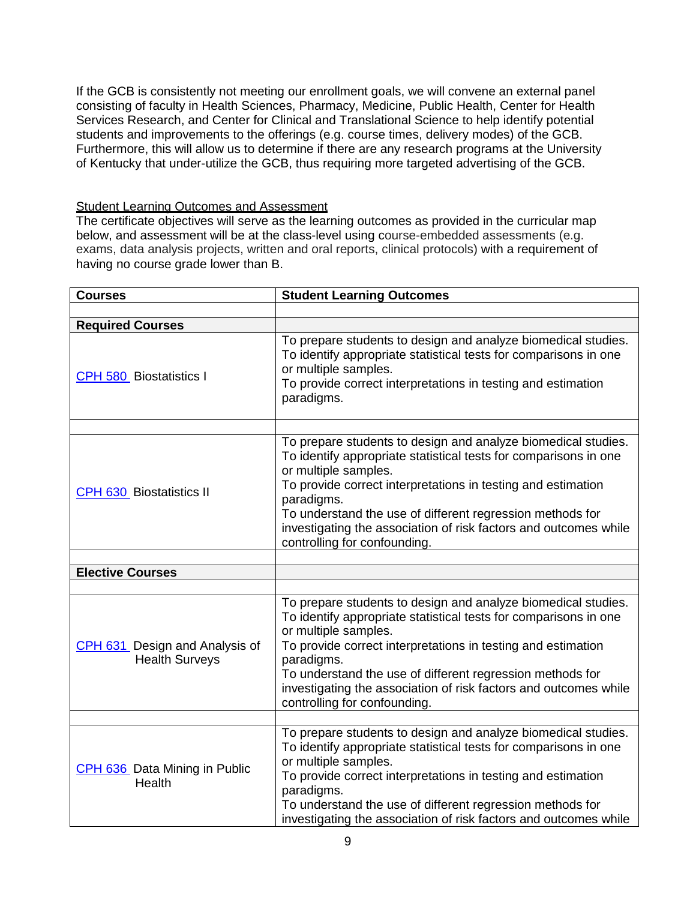If the GCB is consistently not meeting our enrollment goals, we will convene an external panel consisting of faculty in Health Sciences, Pharmacy, Medicine, Public Health, Center for Health Services Research, and Center for Clinical and Translational Science to help identify potential students and improvements to the offerings (e.g. course times, delivery modes) of the GCB. Furthermore, this will allow us to determine if there are any research programs at the University of Kentucky that under-utilize the GCB, thus requiring more targeted advertising of the GCB.

### Student Learning Outcomes and Assessment

The certificate objectives will serve as the learning outcomes as provided in the curricular map below, and assessment will be at the class-level using course-embedded assessments (e.g. exams, data analysis projects, written and oral reports, clinical protocols) with a requirement of having no course grade lower than B.

| <b>Courses</b>                                          | <b>Student Learning Outcomes</b>                                                                                                                                                                                                                                                                                                                                                                         |  |  |
|---------------------------------------------------------|----------------------------------------------------------------------------------------------------------------------------------------------------------------------------------------------------------------------------------------------------------------------------------------------------------------------------------------------------------------------------------------------------------|--|--|
|                                                         |                                                                                                                                                                                                                                                                                                                                                                                                          |  |  |
| <b>Required Courses</b>                                 |                                                                                                                                                                                                                                                                                                                                                                                                          |  |  |
| <b>CPH 580 Biostatistics I</b>                          | To prepare students to design and analyze biomedical studies.<br>To identify appropriate statistical tests for comparisons in one<br>or multiple samples.<br>To provide correct interpretations in testing and estimation<br>paradigms.                                                                                                                                                                  |  |  |
|                                                         |                                                                                                                                                                                                                                                                                                                                                                                                          |  |  |
| CPH 630 Biostatistics II                                | To prepare students to design and analyze biomedical studies.<br>To identify appropriate statistical tests for comparisons in one<br>or multiple samples.<br>To provide correct interpretations in testing and estimation<br>paradigms.<br>To understand the use of different regression methods for<br>investigating the association of risk factors and outcomes while<br>controlling for confounding. |  |  |
|                                                         |                                                                                                                                                                                                                                                                                                                                                                                                          |  |  |
| <b>Elective Courses</b>                                 |                                                                                                                                                                                                                                                                                                                                                                                                          |  |  |
|                                                         |                                                                                                                                                                                                                                                                                                                                                                                                          |  |  |
| CPH 631 Design and Analysis of<br><b>Health Surveys</b> | To prepare students to design and analyze biomedical studies.<br>To identify appropriate statistical tests for comparisons in one<br>or multiple samples.<br>To provide correct interpretations in testing and estimation<br>paradigms.<br>To understand the use of different regression methods for<br>investigating the association of risk factors and outcomes while<br>controlling for confounding. |  |  |
|                                                         | To prepare students to design and analyze biomedical studies.                                                                                                                                                                                                                                                                                                                                            |  |  |
| CPH 636 Data Mining in Public<br>Health                 | To identify appropriate statistical tests for comparisons in one<br>or multiple samples.<br>To provide correct interpretations in testing and estimation<br>paradigms.<br>To understand the use of different regression methods for<br>investigating the association of risk factors and outcomes while                                                                                                  |  |  |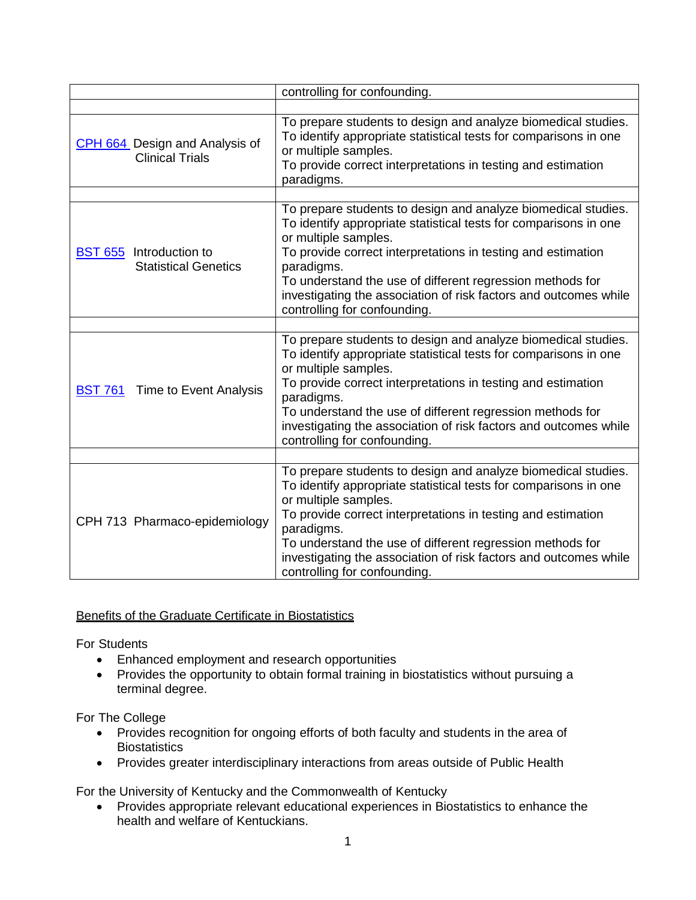| controlling for confounding.                             |                                                                                                                                                                                                                                                                                                                                                                                                          |  |
|----------------------------------------------------------|----------------------------------------------------------------------------------------------------------------------------------------------------------------------------------------------------------------------------------------------------------------------------------------------------------------------------------------------------------------------------------------------------------|--|
|                                                          |                                                                                                                                                                                                                                                                                                                                                                                                          |  |
| CPH 664 Design and Analysis of<br><b>Clinical Trials</b> | To prepare students to design and analyze biomedical studies.<br>To identify appropriate statistical tests for comparisons in one<br>or multiple samples.<br>To provide correct interpretations in testing and estimation<br>paradigms.                                                                                                                                                                  |  |
|                                                          |                                                                                                                                                                                                                                                                                                                                                                                                          |  |
| BST 655 Introduction to<br><b>Statistical Genetics</b>   | To prepare students to design and analyze biomedical studies.<br>To identify appropriate statistical tests for comparisons in one<br>or multiple samples.<br>To provide correct interpretations in testing and estimation<br>paradigms.<br>To understand the use of different regression methods for<br>investigating the association of risk factors and outcomes while<br>controlling for confounding. |  |
|                                                          |                                                                                                                                                                                                                                                                                                                                                                                                          |  |
| <b>BST 761</b> Time to Event Analysis                    | To prepare students to design and analyze biomedical studies.<br>To identify appropriate statistical tests for comparisons in one<br>or multiple samples.<br>To provide correct interpretations in testing and estimation<br>paradigms.<br>To understand the use of different regression methods for<br>investigating the association of risk factors and outcomes while<br>controlling for confounding. |  |
|                                                          |                                                                                                                                                                                                                                                                                                                                                                                                          |  |
| CPH 713 Pharmaco-epidemiology                            | To prepare students to design and analyze biomedical studies.<br>To identify appropriate statistical tests for comparisons in one<br>or multiple samples.<br>To provide correct interpretations in testing and estimation<br>paradigms.<br>To understand the use of different regression methods for<br>investigating the association of risk factors and outcomes while<br>controlling for confounding. |  |

## Benefits of the Graduate Certificate in Biostatistics

For Students

- Enhanced employment and research opportunities
- Provides the opportunity to obtain formal training in biostatistics without pursuing a terminal degree.

For The College

- Provides recognition for ongoing efforts of both faculty and students in the area of **Biostatistics**
- Provides greater interdisciplinary interactions from areas outside of Public Health

For the University of Kentucky and the Commonwealth of Kentucky

 Provides appropriate relevant educational experiences in Biostatistics to enhance the health and welfare of Kentuckians.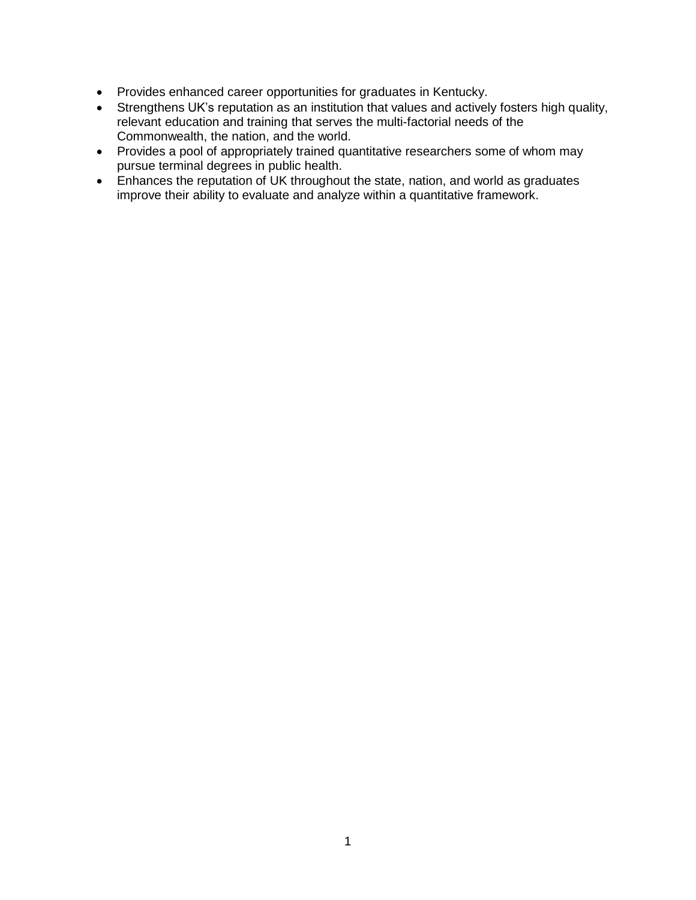- Provides enhanced career opportunities for graduates in Kentucky.
- Strengthens UK's reputation as an institution that values and actively fosters high quality, relevant education and training that serves the multi-factorial needs of the Commonwealth, the nation, and the world.
- Provides a pool of appropriately trained quantitative researchers some of whom may pursue terminal degrees in public health.
- Enhances the reputation of UK throughout the state, nation, and world as graduates improve their ability to evaluate and analyze within a quantitative framework.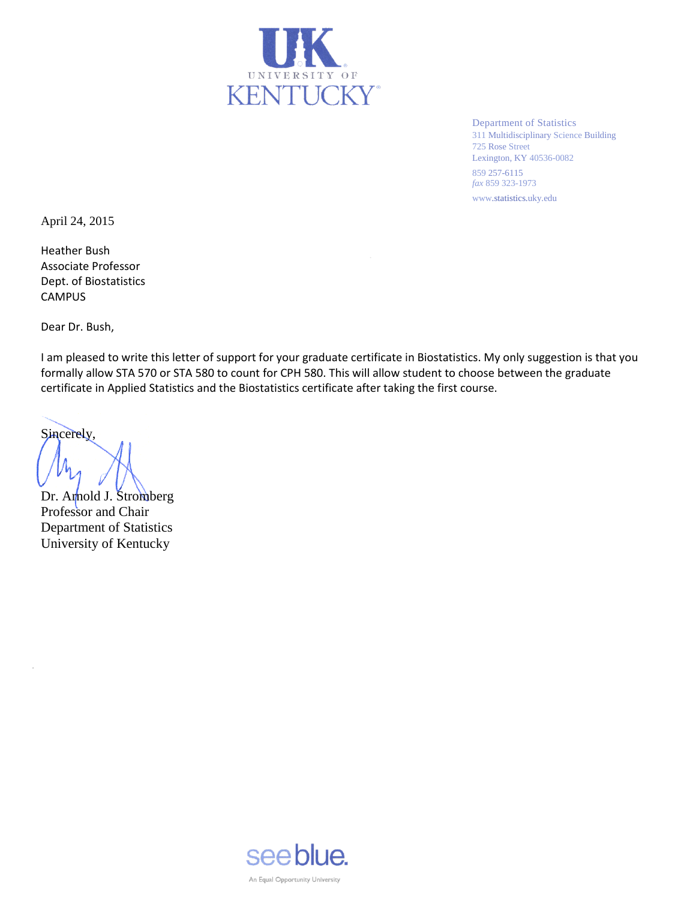

Department of Statistics 311 Multidisciplinary Science Building 725 Rose Street Lexington, KY 40536-0082 859 257-6115 *fax* 859 323-1973 www.statistics.uky.edu

April 24, 2015

Heather Bush Associate Professor Dept. of Biostatistics CAMPUS

Dear Dr. Bush,

I am pleased to write this letter of support for your graduate certificate in Biostatistics. My only suggestion is that you formally allow STA 570 or STA 580 to count for CPH 580. This will allow student to choose between the graduate certificate in Applied Statistics and the Biostatistics certificate after taking the first course.

Sincerely,

 $\epsilon$ 

Dr. Arnold J. Stromberg Professor and Chair Department of Statistics University of Kentucky

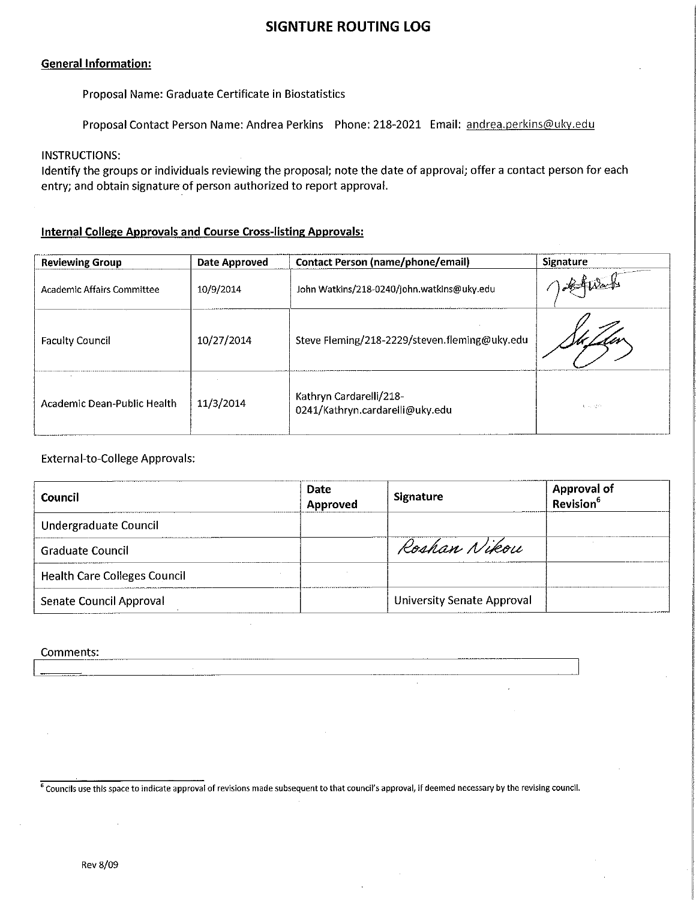# **SIGNTURE ROUTING LOG**

#### **General Information:**

Proposal Name: Graduate Certificate in Biostatistics

Proposal Contact Person Name: Andrea Perkins Phone: 218-2021 Email: andrea.perkins@uky.edu

#### **INSTRUCTIONS:**

Identify the groups or individuals reviewing the proposal; note the date of approval; offer a contact person for each entry; and obtain signature of person authorized to report approval.

## **Internal College Approvals and Course Cross-listing Approvals:**

| <b>Reviewing Group</b>      | Date Approved | <b>Contact Person (name/phone/email)</b>                   | Signature |
|-----------------------------|---------------|------------------------------------------------------------|-----------|
| Academic Affairs Committee  | 10/9/2014     | John Watkins/218-0240/john.watkins@uky.edu                 |           |
| <b>Faculty Council</b>      | 10/27/2014    | Steve Fleming/218-2229/steven.fleming@uky.edu              |           |
| Academic Dean-Public Health | 11/3/2014     | Kathryn Cardarelli/218-<br>0241/Kathryn.cardarelli@uky.edu | 第一次 经货币   |

#### **External-to-College Approvals:**

| Council                             | Date<br>Approved | <b>Signature</b>                  | Approval of<br>Revision <sup>6</sup> |
|-------------------------------------|------------------|-----------------------------------|--------------------------------------|
| Undergraduate Council               |                  |                                   |                                      |
| <b>Graduate Council</b>             |                  | Roshan Nikou                      |                                      |
| <b>Health Care Colleges Council</b> |                  |                                   |                                      |
| Senate Council Approval             |                  | <b>University Senate Approval</b> |                                      |

#### Comments:

 $6$  Councils use this space to indicate approval of revisions made subsequent to that council's approval, if deemed necessary by the revising council.